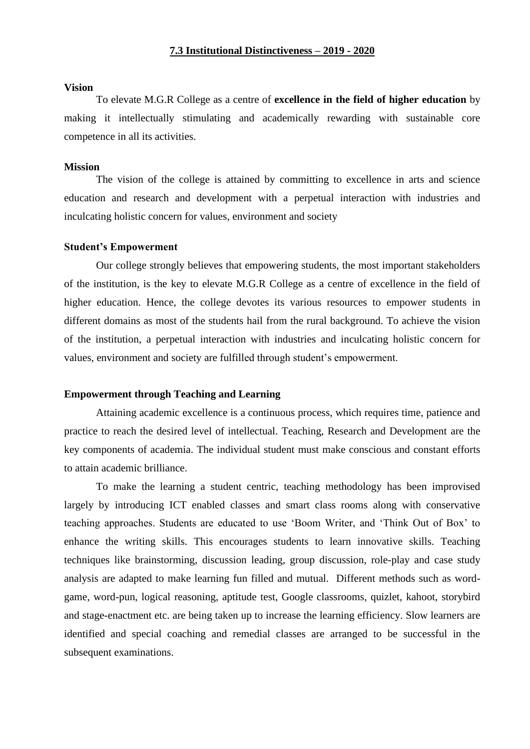#### **Vision**

To elevate M.G.R College as a centre of **excellence in the field of higher education** by making it intellectually stimulating and academically rewarding with sustainable core competence in all its activities.

#### **Mission**

The vision of the college is attained by committing to excellence in arts and science education and research and development with a perpetual interaction with industries and inculcating holistic concern for values, environment and society

#### **Student's Empowerment**

Our college strongly believes that empowering students, the most important stakeholders of the institution, is the key to elevate M.G.R College as a centre of excellence in the field of higher education. Hence, the college devotes its various resources to empower students in different domains as most of the students hail from the rural background. To achieve the vision of the institution, a perpetual interaction with industries and inculcating holistic concern for values, environment and society are fulfilled through student's empowerment.

# **Empowerment through Teaching and Learning**

Attaining academic excellence is a continuous process, which requires time, patience and practice to reach the desired level of intellectual. Teaching, Research and Development are the key components of academia. The individual student must make conscious and constant efforts to attain academic brilliance.

To make the learning a student centric, teaching methodology has been improvised largely by introducing ICT enabled classes and smart class rooms along with conservative teaching approaches. Students are educated to use 'Boom Writer, and 'Think Out of Box' to enhance the writing skills. This encourages students to learn innovative skills. Teaching techniques like brainstorming, discussion leading, group discussion, role-play and case study analysis are adapted to make learning fun filled and mutual. Different methods such as wordgame, word-pun, logical reasoning, aptitude test, Google classrooms, quizlet, kahoot, storybird and stage-enactment etc. are being taken up to increase the learning efficiency. Slow learners are identified and special coaching and remedial classes are arranged to be successful in the subsequent examinations.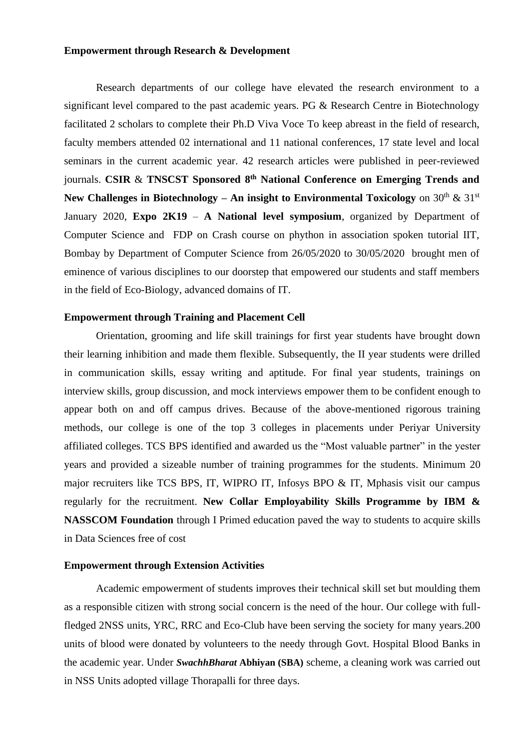# **Empowerment through Research & Development**

Research departments of our college have elevated the research environment to a significant level compared to the past academic years. PG & Research Centre in Biotechnology facilitated 2 scholars to complete their Ph.D Viva Voce To keep abreast in the field of research, faculty members attended 02 international and 11 national conferences, 17 state level and local seminars in the current academic year. 42 research articles were published in peer-reviewed journals. **CSIR** & **TNSCST Sponsored 8 th National Conference on Emerging Trends and New Challenges in Biotechnology – An insight to Environmental Toxicology** on  $30<sup>th</sup> \& 31<sup>st</sup>$ January 2020, **Expo 2K19** – **A National level symposium**, organized by Department of Computer Science and FDP on Crash course on phython in association spoken tutorial IIT, Bombay by Department of Computer Science from 26/05/2020 to 30/05/2020 brought men of eminence of various disciplines to our doorstep that empowered our students and staff members in the field of Eco-Biology, advanced domains of IT.

# **Empowerment through Training and Placement Cell**

Orientation, grooming and life skill trainings for first year students have brought down their learning inhibition and made them flexible. Subsequently, the II year students were drilled in communication skills, essay writing and aptitude. For final year students, trainings on interview skills, group discussion, and mock interviews empower them to be confident enough to appear both on and off campus drives. Because of the above-mentioned rigorous training methods, our college is one of the top 3 colleges in placements under Periyar University affiliated colleges. TCS BPS identified and awarded us the "Most valuable partner" in the yester years and provided a sizeable number of training programmes for the students. Minimum 20 major recruiters like TCS BPS, IT, WIPRO IT, Infosys BPO & IT, Mphasis visit our campus regularly for the recruitment. **New Collar Employability Skills Programme by IBM & NASSCOM Foundation** through I Primed education paved the way to students to acquire skills in Data Sciences free of cost

#### **Empowerment through Extension Activities**

Academic empowerment of students improves their technical skill set but moulding them as a responsible citizen with strong social concern is the need of the hour. Our college with fullfledged 2NSS units, YRC, RRC and Eco-Club have been serving the society for many years.200 units of blood were donated by volunteers to the needy through Govt. Hospital Blood Banks in the academic year. Under *SwachhBharat* **Abhiyan (SBA)** scheme, a cleaning work was carried out in NSS Units adopted village Thorapalli for three days.